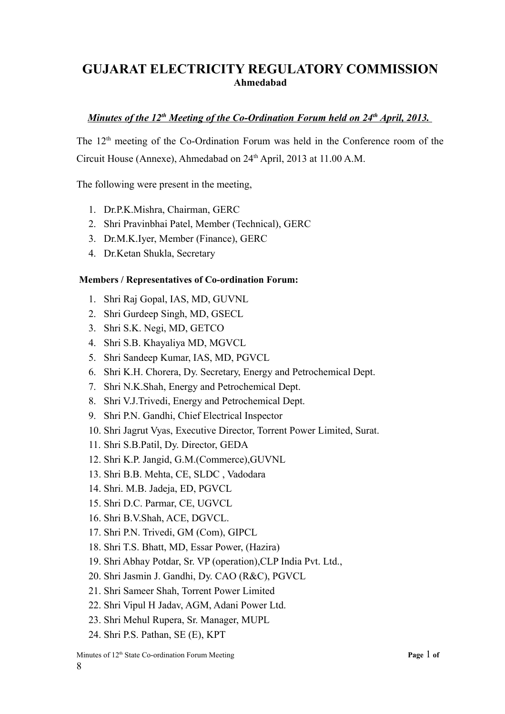# **GUJARAT ELECTRICITY REGULATORY COMMISSION Ahmedabad**

## *Minutes of the 12<sup>th</sup> Meeting of the Co-Ordination Forum held on 24<sup>th</sup> April, 2013.*

The 12<sup>th</sup> meeting of the Co-Ordination Forum was held in the Conference room of the Circuit House (Annexe), Ahmedabad on  $24<sup>th</sup>$  April, 2013 at 11.00 A.M.

The following were present in the meeting,

- 1. Dr.P.K.Mishra, Chairman, GERC
- 2. Shri Pravinbhai Patel, Member (Technical), GERC
- 3. Dr.M.K.Iyer, Member (Finance), GERC
- 4. Dr.Ketan Shukla, Secretary

#### **Members / Representatives of Co-ordination Forum:**

- 1. Shri Raj Gopal, IAS, MD, GUVNL
- 2. Shri Gurdeep Singh, MD, GSECL
- 3. Shri S.K. Negi, MD, GETCO
- 4. Shri S.B. Khayaliya MD, MGVCL
- 5. Shri Sandeep Kumar, IAS, MD, PGVCL
- 6. Shri K.H. Chorera, Dy. Secretary, Energy and Petrochemical Dept.
- 7. Shri N.K.Shah, Energy and Petrochemical Dept.
- 8. Shri V.J.Trivedi, Energy and Petrochemical Dept.
- 9. Shri P.N. Gandhi, Chief Electrical Inspector
- 10. Shri Jagrut Vyas, Executive Director, Torrent Power Limited, Surat.
- 11. Shri S.B.Patil, Dy. Director, GEDA
- 12. Shri K.P. Jangid, G.M.(Commerce),GUVNL
- 13. Shri B.B. Mehta, CE, SLDC , Vadodara
- 14. Shri. M.B. Jadeja, ED, PGVCL
- 15. Shri D.C. Parmar, CE, UGVCL
- 16. Shri B.V.Shah, ACE, DGVCL.
- 17. Shri P.N. Trivedi, GM (Com), GIPCL
- 18. Shri T.S. Bhatt, MD, Essar Power, (Hazira)
- 19. Shri Abhay Potdar, Sr. VP (operation),CLP India Pvt. Ltd.,
- 20. Shri Jasmin J. Gandhi, Dy. CAO (R&C), PGVCL
- 21. Shri Sameer Shah, Torrent Power Limited
- 22. Shri Vipul H Jadav, AGM, Adani Power Ltd.
- 23. Shri Mehul Rupera, Sr. Manager, MUPL
- 24. Shri P.S. Pathan, SE (E), KPT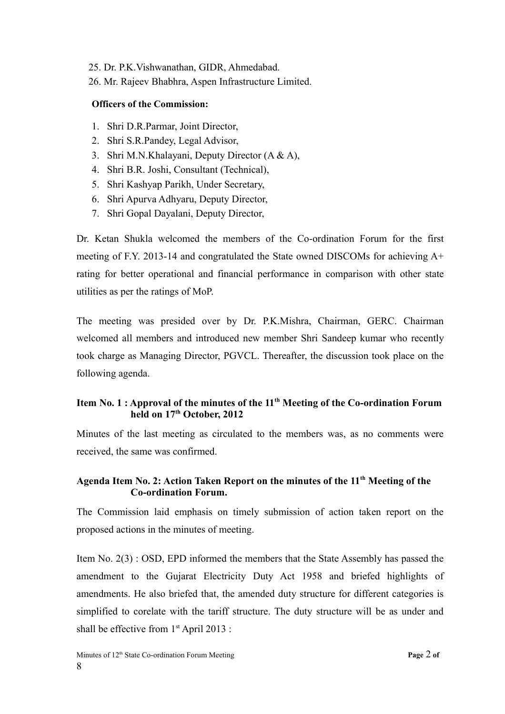- 25. Dr. P.K.Vishwanathan, GIDR, Ahmedabad.
- 26. Mr. Rajeev Bhabhra, Aspen Infrastructure Limited.

## **Officers of the Commission:**

- 1. Shri D.R.Parmar, Joint Director,
- 2. Shri S.R.Pandey, Legal Advisor,
- 3. Shri M.N.Khalayani, Deputy Director (A & A),
- 4. Shri B.R. Joshi, Consultant (Technical),
- 5. Shri Kashyap Parikh, Under Secretary,
- 6. Shri Apurva Adhyaru, Deputy Director,
- 7. Shri Gopal Dayalani, Deputy Director,

Dr. Ketan Shukla welcomed the members of the Co-ordination Forum for the first meeting of F.Y. 2013-14 and congratulated the State owned DISCOMs for achieving A+ rating for better operational and financial performance in comparison with other state utilities as per the ratings of MoP.

The meeting was presided over by Dr. P.K.Mishra, Chairman, GERC. Chairman welcomed all members and introduced new member Shri Sandeep kumar who recently took charge as Managing Director, PGVCL. Thereafter, the discussion took place on the following agenda.

## **Item No. 1 : Approval of the minutes of the 11th Meeting of the Co-ordination Forum held on 17th October, 2012**

Minutes of the last meeting as circulated to the members was, as no comments were received, the same was confirmed.

## **Agenda Item No. 2: Action Taken Report on the minutes of the 11th Meeting of the Co-ordination Forum.**

The Commission laid emphasis on timely submission of action taken report on the proposed actions in the minutes of meeting.

Item No. 2(3) : OSD, EPD informed the members that the State Assembly has passed the amendment to the Gujarat Electricity Duty Act 1958 and briefed highlights of amendments. He also briefed that, the amended duty structure for different categories is simplified to corelate with the tariff structure. The duty structure will be as under and shall be effective from 1<sup>st</sup> April 2013 :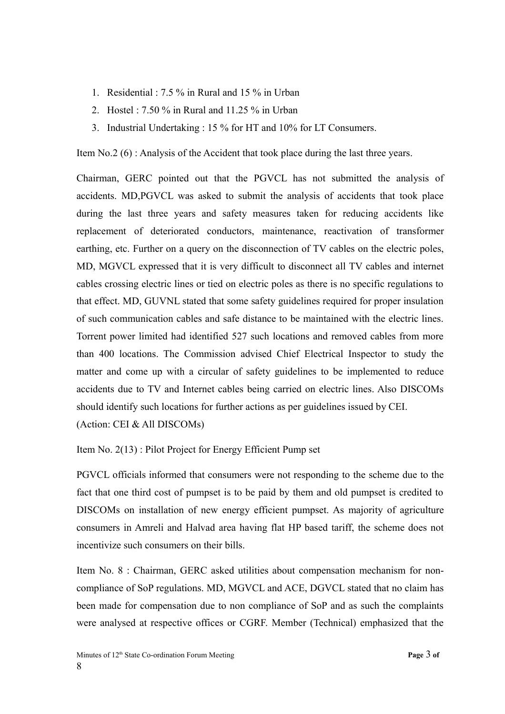- 1. Residential : 7.5 % in Rural and 15 % in Urban
- 2. Hostel : 7.50 % in Rural and 11.25 % in Urban
- 3. Industrial Undertaking : 15 % for HT and 10% for LT Consumers.

Item No.2 (6) : Analysis of the Accident that took place during the last three years.

Chairman, GERC pointed out that the PGVCL has not submitted the analysis of accidents. MD,PGVCL was asked to submit the analysis of accidents that took place during the last three years and safety measures taken for reducing accidents like replacement of deteriorated conductors, maintenance, reactivation of transformer earthing, etc. Further on a query on the disconnection of TV cables on the electric poles, MD, MGVCL expressed that it is very difficult to disconnect all TV cables and internet cables crossing electric lines or tied on electric poles as there is no specific regulations to that effect. MD, GUVNL stated that some safety guidelines required for proper insulation of such communication cables and safe distance to be maintained with the electric lines. Torrent power limited had identified 527 such locations and removed cables from more than 400 locations. The Commission advised Chief Electrical Inspector to study the matter and come up with a circular of safety guidelines to be implemented to reduce accidents due to TV and Internet cables being carried on electric lines. Also DISCOMs should identify such locations for further actions as per guidelines issued by CEI. (Action: CEI & All DISCOMs)

Item No. 2(13) : Pilot Project for Energy Efficient Pump set

PGVCL officials informed that consumers were not responding to the scheme due to the fact that one third cost of pumpset is to be paid by them and old pumpset is credited to DISCOMs on installation of new energy efficient pumpset. As majority of agriculture consumers in Amreli and Halvad area having flat HP based tariff, the scheme does not incentivize such consumers on their bills.

Item No. 8 : Chairman, GERC asked utilities about compensation mechanism for noncompliance of SoP regulations. MD, MGVCL and ACE, DGVCL stated that no claim has been made for compensation due to non compliance of SoP and as such the complaints were analysed at respective offices or CGRF. Member (Technical) emphasized that the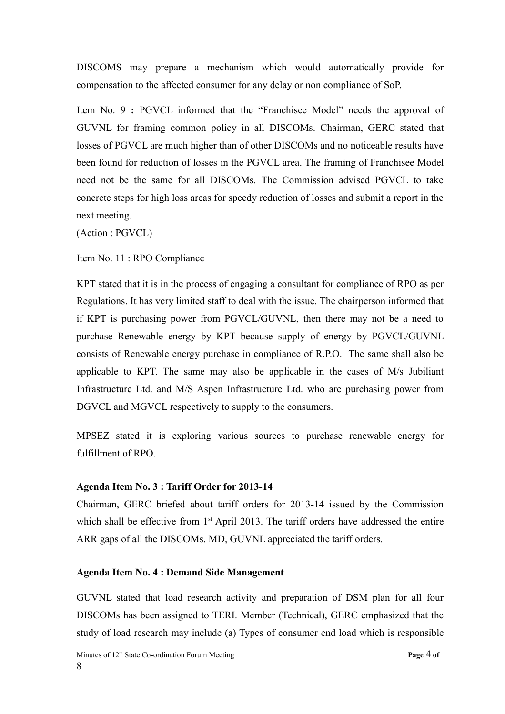DISCOMS may prepare a mechanism which would automatically provide for compensation to the affected consumer for any delay or non compliance of SoP.

Item No. 9 **:** PGVCL informed that the "Franchisee Model" needs the approval of GUVNL for framing common policy in all DISCOMs. Chairman, GERC stated that losses of PGVCL are much higher than of other DISCOMs and no noticeable results have been found for reduction of losses in the PGVCL area. The framing of Franchisee Model need not be the same for all DISCOMs. The Commission advised PGVCL to take concrete steps for high loss areas for speedy reduction of losses and submit a report in the next meeting.

(Action : PGVCL)

Item No. 11 : RPO Compliance

KPT stated that it is in the process of engaging a consultant for compliance of RPO as per Regulations. It has very limited staff to deal with the issue. The chairperson informed that if KPT is purchasing power from PGVCL/GUVNL, then there may not be a need to purchase Renewable energy by KPT because supply of energy by PGVCL/GUVNL consists of Renewable energy purchase in compliance of R.P.O. The same shall also be applicable to KPT. The same may also be applicable in the cases of M/s Jubiliant Infrastructure Ltd. and M/S Aspen Infrastructure Ltd. who are purchasing power from DGVCL and MGVCL respectively to supply to the consumers.

MPSEZ stated it is exploring various sources to purchase renewable energy for fulfillment of RPO.

#### **Agenda Item No. 3 : Tariff Order for 2013-14**

Chairman, GERC briefed about tariff orders for 2013-14 issued by the Commission which shall be effective from  $1<sup>st</sup>$  April 2013. The tariff orders have addressed the entire ARR gaps of all the DISCOMs. MD, GUVNL appreciated the tariff orders.

#### **Agenda Item No. 4 : Demand Side Management**

GUVNL stated that load research activity and preparation of DSM plan for all four DISCOMs has been assigned to TERI. Member (Technical), GERC emphasized that the study of load research may include (a) Types of consumer end load which is responsible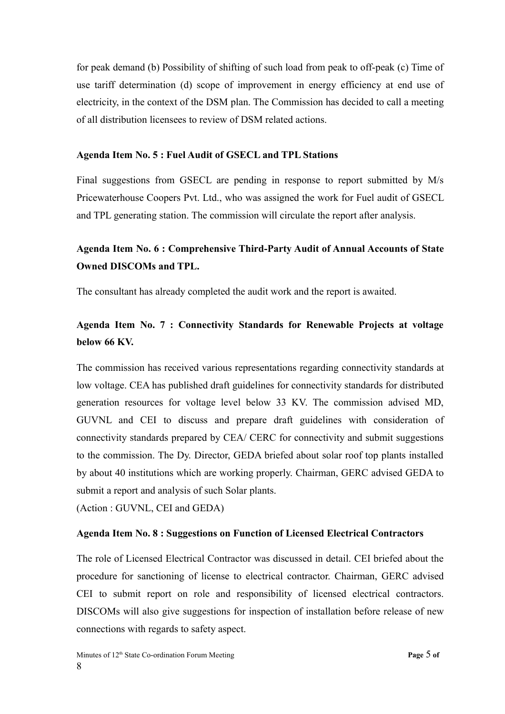for peak demand (b) Possibility of shifting of such load from peak to off-peak (c) Time of use tariff determination (d) scope of improvement in energy efficiency at end use of electricity, in the context of the DSM plan. The Commission has decided to call a meeting of all distribution licensees to review of DSM related actions.

## **Agenda Item No. 5 : Fuel Audit of GSECL and TPL Stations**

Final suggestions from GSECL are pending in response to report submitted by M/s Pricewaterhouse Coopers Pvt. Ltd., who was assigned the work for Fuel audit of GSECL and TPL generating station. The commission will circulate the report after analysis.

# **Agenda Item No. 6 : Comprehensive Third-Party Audit of Annual Accounts of State Owned DISCOMs and TPL.**

The consultant has already completed the audit work and the report is awaited.

# **Agenda Item No. 7 : Connectivity Standards for Renewable Projects at voltage below 66 KV.**

The commission has received various representations regarding connectivity standards at low voltage. CEA has published draft guidelines for connectivity standards for distributed generation resources for voltage level below 33 KV. The commission advised MD, GUVNL and CEI to discuss and prepare draft guidelines with consideration of connectivity standards prepared by CEA/ CERC for connectivity and submit suggestions to the commission. The Dy. Director, GEDA briefed about solar roof top plants installed by about 40 institutions which are working properly. Chairman, GERC advised GEDA to submit a report and analysis of such Solar plants.

(Action : GUVNL, CEI and GEDA)

## **Agenda Item No. 8 : Suggestions on Function of Licensed Electrical Contractors**

The role of Licensed Electrical Contractor was discussed in detail. CEI briefed about the procedure for sanctioning of license to electrical contractor. Chairman, GERC advised CEI to submit report on role and responsibility of licensed electrical contractors. DISCOMs will also give suggestions for inspection of installation before release of new connections with regards to safety aspect.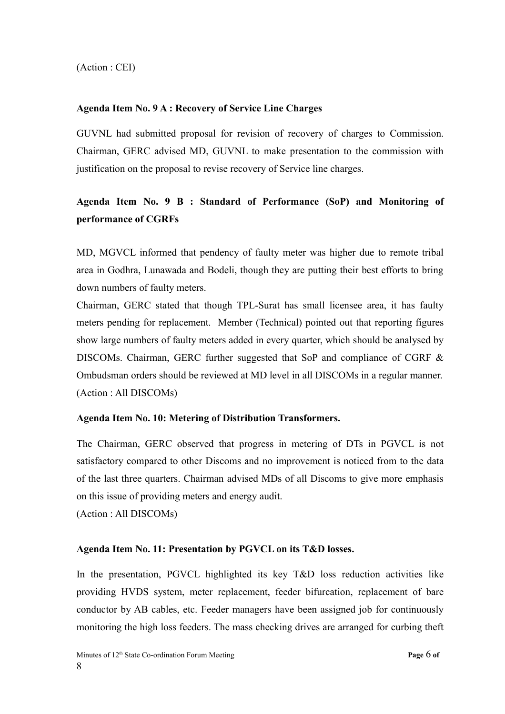(Action : CEI)

## **Agenda Item No. 9 A : Recovery of Service Line Charges**

GUVNL had submitted proposal for revision of recovery of charges to Commission. Chairman, GERC advised MD, GUVNL to make presentation to the commission with justification on the proposal to revise recovery of Service line charges.

# **Agenda Item No. 9 B : Standard of Performance (SoP) and Monitoring of performance of CGRFs**

MD, MGVCL informed that pendency of faulty meter was higher due to remote tribal area in Godhra, Lunawada and Bodeli, though they are putting their best efforts to bring down numbers of faulty meters.

Chairman, GERC stated that though TPL-Surat has small licensee area, it has faulty meters pending for replacement. Member (Technical) pointed out that reporting figures show large numbers of faulty meters added in every quarter, which should be analysed by DISCOMs. Chairman, GERC further suggested that SoP and compliance of CGRF & Ombudsman orders should be reviewed at MD level in all DISCOMs in a regular manner. (Action : All DISCOMs)

## **Agenda Item No. 10: Metering of Distribution Transformers.**

The Chairman, GERC observed that progress in metering of DTs in PGVCL is not satisfactory compared to other Discoms and no improvement is noticed from to the data of the last three quarters. Chairman advised MDs of all Discoms to give more emphasis on this issue of providing meters and energy audit.

(Action : All DISCOMs)

## **Agenda Item No. 11: Presentation by PGVCL on its T&D losses.**

In the presentation, PGVCL highlighted its key T&D loss reduction activities like providing HVDS system, meter replacement, feeder bifurcation, replacement of bare conductor by AB cables, etc. Feeder managers have been assigned job for continuously monitoring the high loss feeders. The mass checking drives are arranged for curbing theft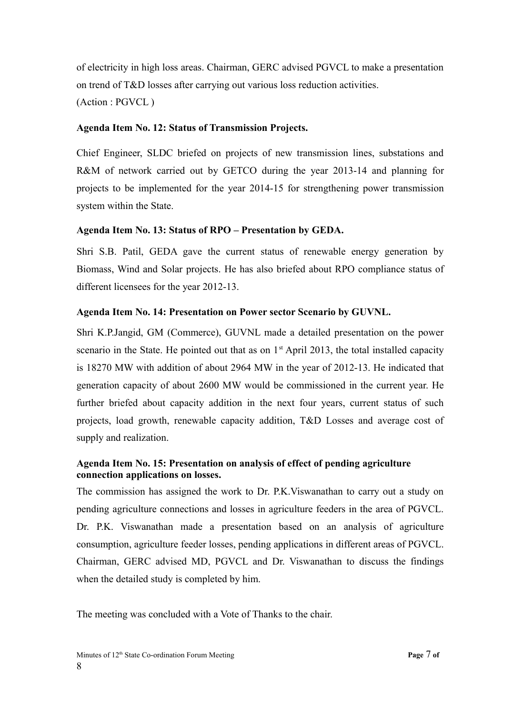of electricity in high loss areas. Chairman, GERC advised PGVCL to make a presentation on trend of T&D losses after carrying out various loss reduction activities. (Action : PGVCL )

## **Agenda Item No. 12: Status of Transmission Projects.**

Chief Engineer, SLDC briefed on projects of new transmission lines, substations and R&M of network carried out by GETCO during the year 2013-14 and planning for projects to be implemented for the year 2014-15 for strengthening power transmission system within the State.

## **Agenda Item No. 13: Status of RPO – Presentation by GEDA.**

Shri S.B. Patil, GEDA gave the current status of renewable energy generation by Biomass, Wind and Solar projects. He has also briefed about RPO compliance status of different licensees for the year 2012-13.

## **Agenda Item No. 14: Presentation on Power sector Scenario by GUVNL.**

Shri K.P.Jangid, GM (Commerce), GUVNL made a detailed presentation on the power scenario in the State. He pointed out that as on  $1<sup>st</sup>$  April 2013, the total installed capacity is 18270 MW with addition of about 2964 MW in the year of 2012-13. He indicated that generation capacity of about 2600 MW would be commissioned in the current year. He further briefed about capacity addition in the next four years, current status of such projects, load growth, renewable capacity addition, T&D Losses and average cost of supply and realization.

## **Agenda Item No. 15: Presentation on analysis of effect of pending agriculture connection applications on losses.**

The commission has assigned the work to Dr. P.K.Viswanathan to carry out a study on pending agriculture connections and losses in agriculture feeders in the area of PGVCL. Dr. P.K. Viswanathan made a presentation based on an analysis of agriculture consumption, agriculture feeder losses, pending applications in different areas of PGVCL. Chairman, GERC advised MD, PGVCL and Dr. Viswanathan to discuss the findings when the detailed study is completed by him.

The meeting was concluded with a Vote of Thanks to the chair.